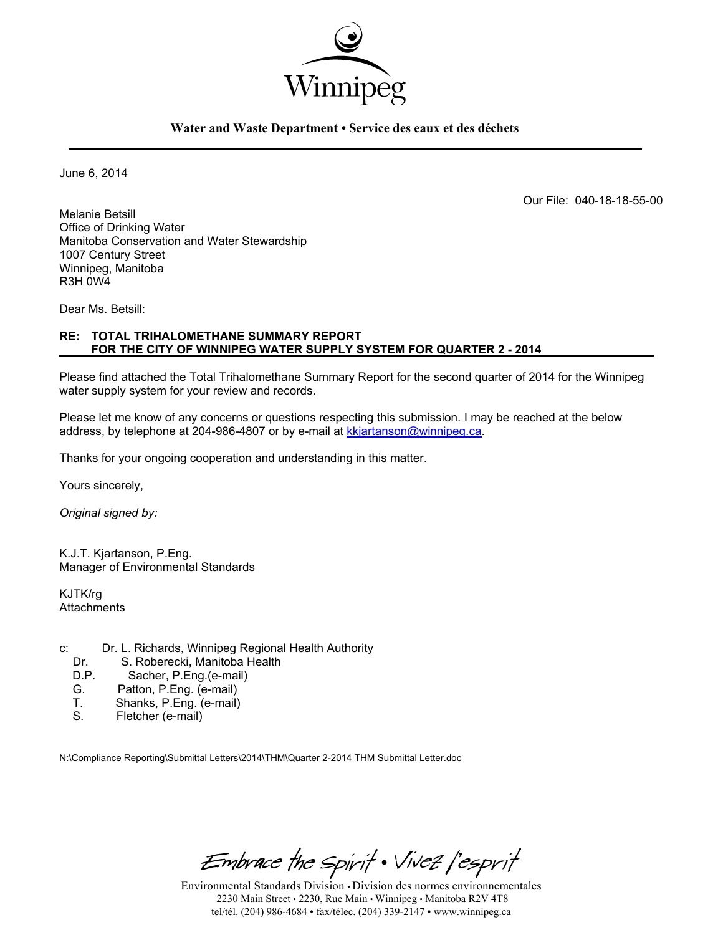

### **Water and Waste Department • Service des eaux et des déchets**

June 6, 2014

Our File: 040-18-18-55-00

Melanie Betsill Office of Drinking Water Manitoba Conservation and Water Stewardship 1007 Century Street Winnipeg, Manitoba R3H 0W4

Dear Ms. Betsill:

### **RE: TOTAL TRIHALOMETHANE SUMMARY REPORT FOR THE CITY OF WINNIPEG WATER SUPPLY SYSTEM FOR QUARTER 2 - 2014**

Please find attached the Total Trihalomethane Summary Report for the second quarter of 2014 for the Winnipeg water supply system for your review and records.

Please let me know of any concerns or questions respecting this submission. I may be reached at the below address, by telephone at 204-986-4807 or by e-mail at kkjartanson@winnipeg.ca.

Thanks for your ongoing cooperation and understanding in this matter.

Yours sincerely,

*Original signed by:* 

K.J.T. Kjartanson, P.Eng. Manager of Environmental Standards

KJTK/rg **Attachments** 

- c: Dr. L. Richards, Winnipeg Regional Health Authority<br>Dr. S. Roberecki. Manitoba Health
	- S. Roberecki, Manitoba Health
	- D.P. Sacher, P.Eng.(e-mail)<br>G. Patton. P.Eng. (e-mail)
	- G. Patton, P.Eng. (e-mail)<br>T. Shanks. P.Eng. (e-mail)
	- Shanks, P.Eng. (e-mail)
	- S. Fletcher (e-mail)

N:\Compliance Reporting\Submittal Letters\2014\THM\Quarter 2-2014 THM Submittal Letter.doc

Embrace the Spirit . Vivez l'esprit

Environmental Standards Division • Division des normes environnementales 2230 Main Street • 2230, Rue Main • Winnipeg • Manitoba R2V 4T8 tel/tél. (204) 986-4684 • fax/télec. (204) 339-2147 • www.winnipeg.ca